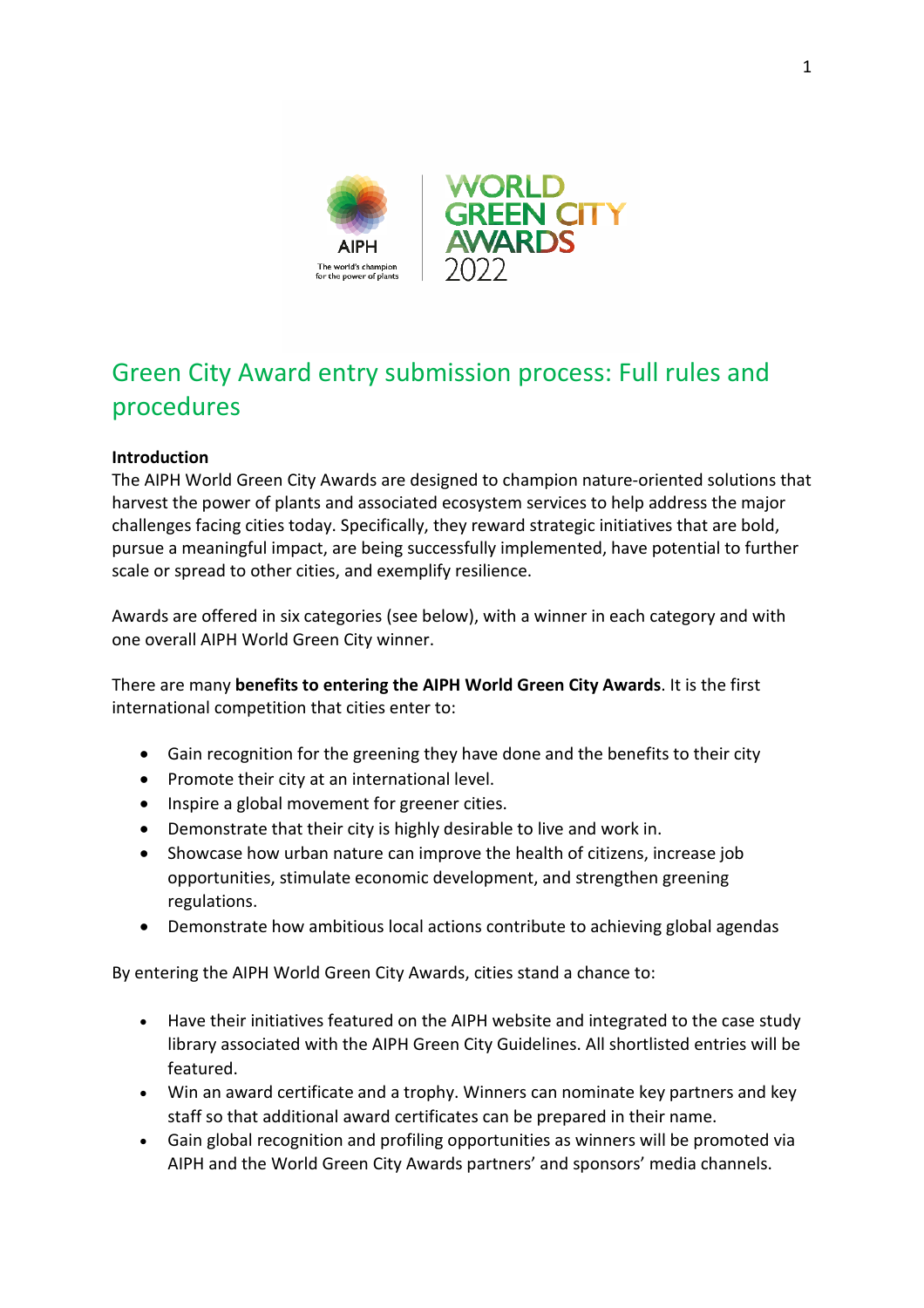

# Green City Award entry submission process: Full rules and procedures

# **Introduction**

The AIPH World Green City Awards are designed to champion nature-oriented solutions that harvest the power of plants and associated ecosystem services to help address the major challenges facing cities today. Specifically, they reward strategic initiatives that are bold, pursue a meaningful impact, are being successfully implemented, have potential to further scale or spread to other cities, and exemplify resilience.

Awards are offered in six categories (see below), with a winner in each category and with one overall AIPH World Green City winner.

There are many **benefits to entering the AIPH World Green City Awards**. It is the first international competition that cities enter to:

- Gain recognition for the greening they have done and the benefits to their city
- Promote their city at an international level.
- Inspire a global movement for greener cities.
- Demonstrate that their city is highly desirable to live and work in.
- Showcase how urban nature can improve the health of citizens, increase job opportunities, stimulate economic development, and strengthen greening regulations.
- Demonstrate how ambitious local actions contribute to achieving global agendas

By entering the AIPH World Green City Awards, cities stand a chance to:

- Have their initiatives featured on the AIPH website and integrated to the case study library associated with the AIPH Green City Guidelines. All shortlisted entries will be featured.
- Win an award certificate and a trophy. Winners can nominate key partners and key staff so that additional award certificates can be prepared in their name.
- Gain global recognition and profiling opportunities as winners will be promoted via AIPH and the World Green City Awards partners' and sponsors' media channels.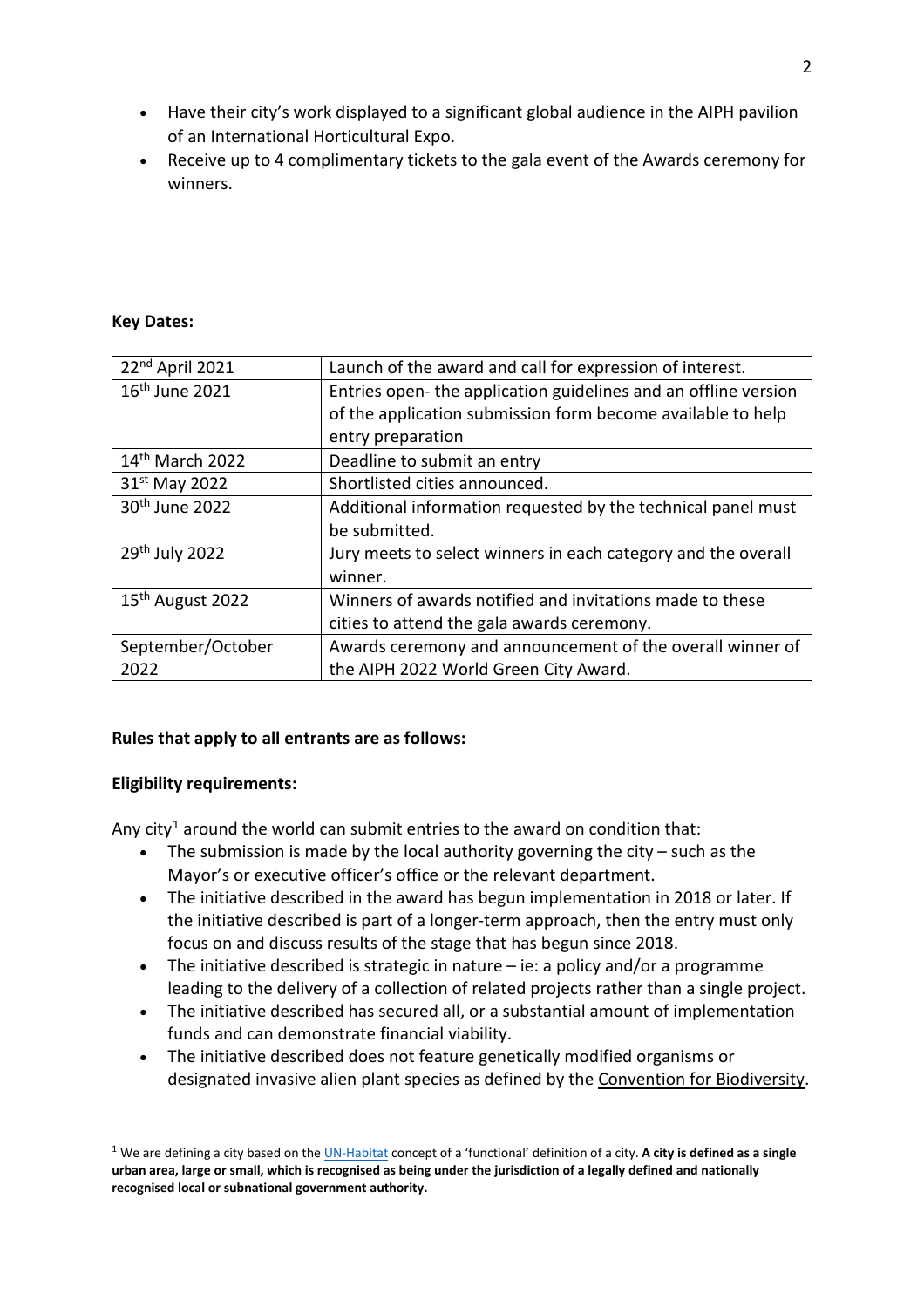- Have their city's work displayed to a significant global audience in the AIPH pavilion of an International Horticultural Expo.
- Receive up to 4 complimentary tickets to the gala event of the Awards ceremony for winners.

# **Key Dates:**

| 22 <sup>nd</sup> April 2021  | Launch of the award and call for expression of interest.       |
|------------------------------|----------------------------------------------------------------|
| 16 <sup>th</sup> June 2021   | Entries open-the application guidelines and an offline version |
|                              | of the application submission form become available to help    |
|                              | entry preparation                                              |
| 14 <sup>th</sup> March 2022  | Deadline to submit an entry                                    |
| 31 <sup>st</sup> May 2022    | Shortlisted cities announced.                                  |
| 30 <sup>th</sup> June 2022   | Additional information requested by the technical panel must   |
|                              | be submitted.                                                  |
| 29th July 2022               | Jury meets to select winners in each category and the overall  |
|                              | winner.                                                        |
| 15 <sup>th</sup> August 2022 | Winners of awards notified and invitations made to these       |
|                              | cities to attend the gala awards ceremony.                     |
| September/October            | Awards ceremony and announcement of the overall winner of      |
| 2022                         | the AIPH 2022 World Green City Award.                          |

# **Rules that apply to all entrants are as follows:**

# **Eligibility requirements:**

Any city<sup>[1](#page-1-0)</sup> around the world can submit entries to the award on condition that:

- The submission is made by the local authority governing the city such as the Mayor's or executive officer's office or the relevant department.
- The initiative described in the award has begun implementation in 2018 or later. If the initiative described is part of a longer-term approach, then the entry must only focus on and discuss results of the stage that has begun since 2018.
- The initiative described is strategic in nature ie: a policy and/or a programme leading to the delivery of a collection of related projects rather than a single project.
- The initiative described has secured all, or a substantial amount of implementation funds and can demonstrate financial viability.
- The initiative described does not feature genetically modified organisms or designated invasive alien plant species as defined by the [Convention for Biodiversity.](https://www.cbd.int/invasive/)

<span id="page-1-0"></span><sup>1</sup> We are defining a city based on the [UN-Habitat](https://unhabitat.org/sites/default/files/2020/06/city_definition_what_is_a_city.pdf) concept of a 'functional' definition of a city. **A city is defined as a single urban area, large or small, which is recognised as being under the jurisdiction of a legally defined and nationally recognised local or subnational government authority.**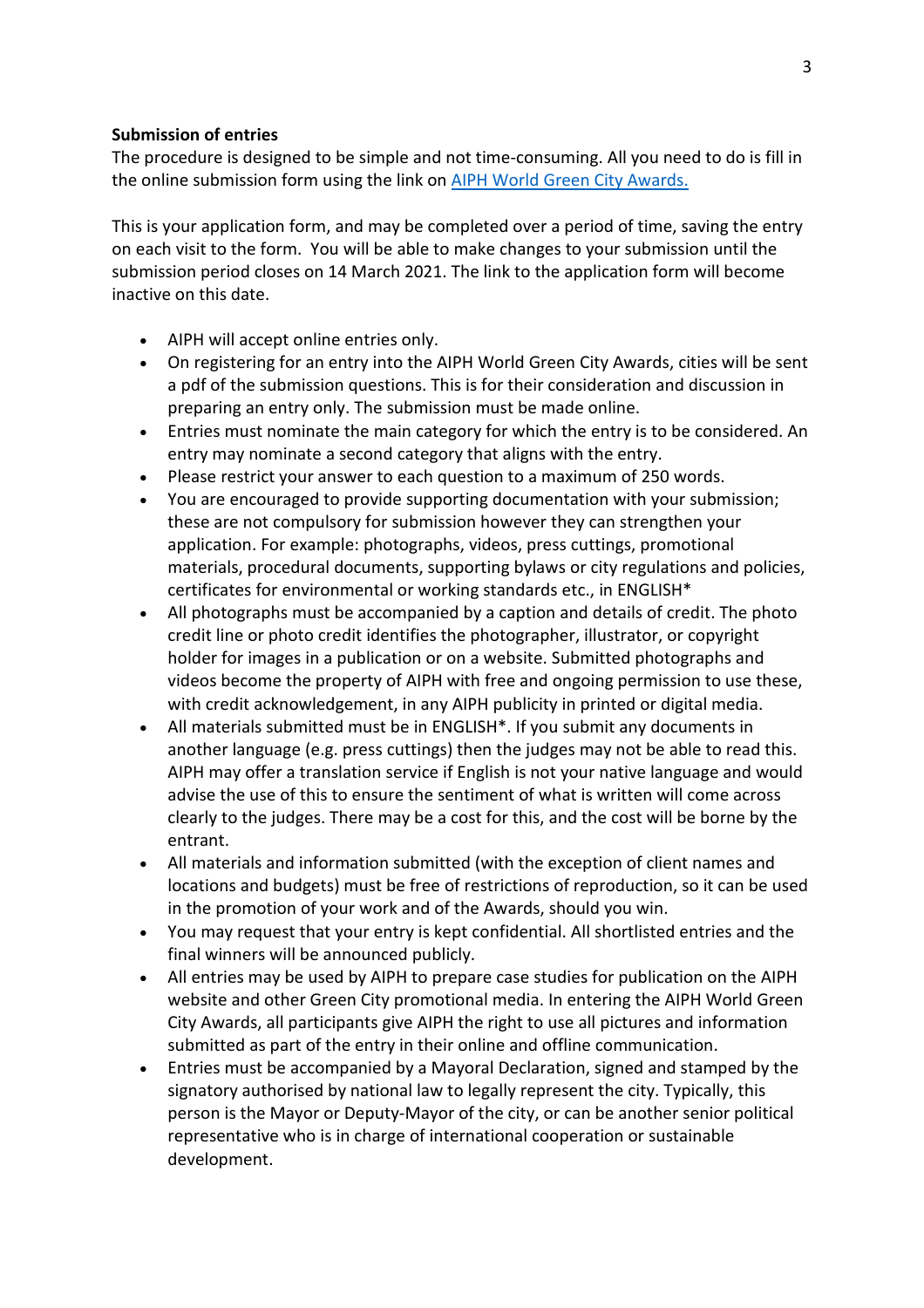#### **Submission of entries**

The procedure is designed to be simple and not time-consuming. All you need to do is fill in the online submission form using the link on [AIPH World Green City Awards.](https://aiph.org/green-city/green-city-awards/)

This is your application form, and may be completed over a period of time, saving the entry on each visit to the form. You will be able to make changes to your submission until the submission period closes on 14 March 2021. The link to the application form will become inactive on this date.

- AIPH will accept online entries only.
- On registering for an entry into the AIPH World Green City Awards, cities will be sent a pdf of the submission questions. This is for their consideration and discussion in preparing an entry only. The submission must be made online.
- Entries must nominate the main category for which the entry is to be considered. An entry may nominate a second category that aligns with the entry.
- Please restrict your answer to each question to a maximum of 250 words.
- You are encouraged to provide supporting documentation with your submission; these are not compulsory for submission however they can strengthen your application. For example: photographs, videos, press cuttings, promotional materials, procedural documents, supporting bylaws or city regulations and policies, certificates for environmental or working standards etc., in ENGLISH\*
- All photographs must be accompanied by a caption and details of credit. The photo credit line or photo credit identifies the photographer, illustrator, or copyright holder for images in a publication or on a website. Submitted photographs and videos become the property of AIPH with free and ongoing permission to use these, with credit acknowledgement, in any AIPH publicity in printed or digital media.
- All materials submitted must be in ENGLISH\*. If you submit any documents in another language (e.g. press cuttings) then the judges may not be able to read this. AIPH may offer a translation service if English is not your native language and would advise the use of this to ensure the sentiment of what is written will come across clearly to the judges. There may be a cost for this, and the cost will be borne by the entrant.
- All materials and information submitted (with the exception of client names and locations and budgets) must be free of restrictions of reproduction, so it can be used in the promotion of your work and of the Awards, should you win.
- You may request that your entry is kept confidential. All shortlisted entries and the final winners will be announced publicly.
- All entries may be used by AIPH to prepare case studies for publication on the AIPH website and other Green City promotional media. In entering the AIPH World Green City Awards, all participants give AIPH the right to use all pictures and information submitted as part of the entry in their online and offline communication.
- Entries must be accompanied by a Mayoral Declaration, signed and stamped by the signatory authorised by national law to legally represent the city. Typically, this person is the Mayor or Deputy-Mayor of the city, or can be another senior political representative who is in charge of international cooperation or sustainable development.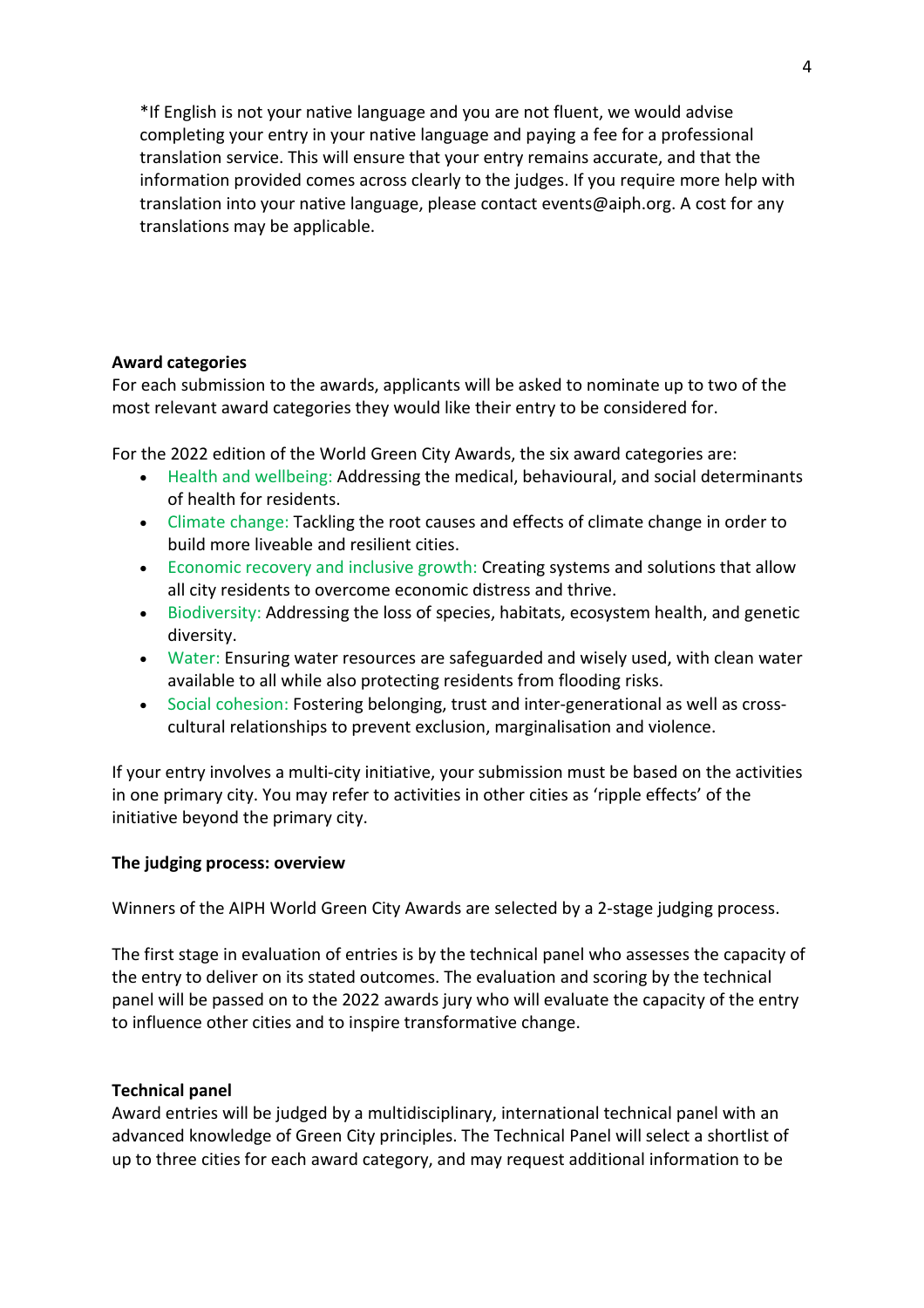\*If English is not your native language and you are not fluent, we would advise completing your entry in your native language and paying a fee for a professional translation service. This will ensure that your entry remains accurate, and that the information provided comes across clearly to the judges. If you require more help with translation into your native language, please contact events@aiph.org. A cost for any translations may be applicable.

# **Award categories**

For each submission to the awards, applicants will be asked to nominate up to two of the most relevant award categories they would like their entry to be considered for.

For the 2022 edition of the World Green City Awards, the six award categories are:

- Health and wellbeing: Addressing the medical, behavioural, and social determinants of health for residents.
- Climate change: Tackling the root causes and effects of climate change in order to build more liveable and resilient cities.
- Economic recovery and inclusive growth: Creating systems and solutions that allow all city residents to overcome economic distress and thrive.
- Biodiversity: Addressing the loss of species, habitats, ecosystem health, and genetic diversity.
- Water: Ensuring water resources are safeguarded and wisely used, with clean water available to all while also protecting residents from flooding risks.
- Social cohesion: Fostering belonging, trust and inter-generational as well as crosscultural relationships to prevent exclusion, marginalisation and violence.

If your entry involves a multi-city initiative, your submission must be based on the activities in one primary city. You may refer to activities in other cities as 'ripple effects' of the initiative beyond the primary city.

# **The judging process: overview**

Winners of the AIPH World Green City Awards are selected by a 2-stage judging process.

The first stage in evaluation of entries is by the technical panel who assesses the capacity of the entry to deliver on its stated outcomes. The evaluation and scoring by the technical panel will be passed on to the 2022 awards jury who will evaluate the capacity of the entry to influence other cities and to inspire transformative change.

# **Technical panel**

Award entries will be judged by a multidisciplinary, international technical panel with an advanced knowledge of Green City principles. The Technical Panel will select a shortlist of up to three cities for each award category, and may request additional information to be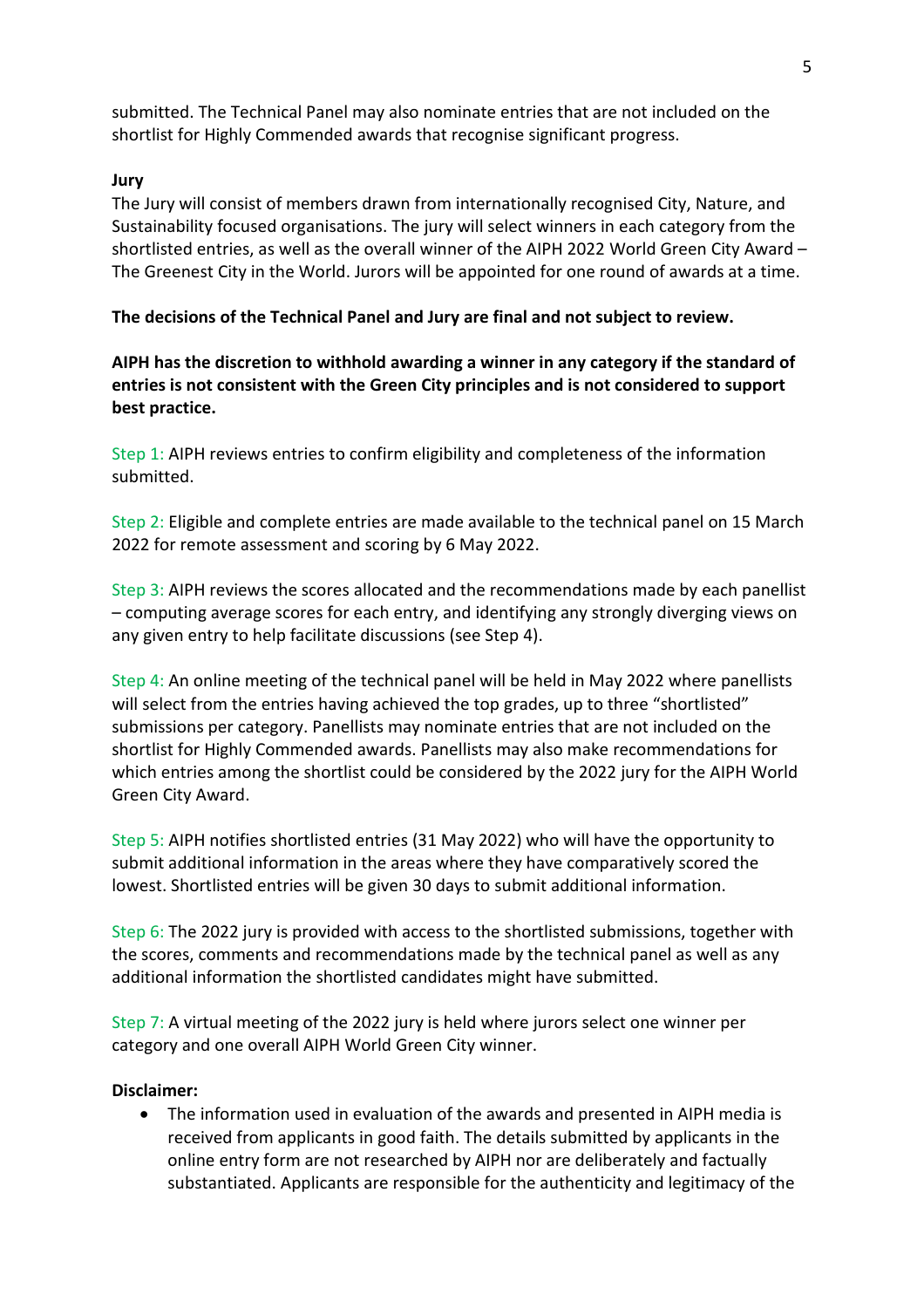submitted. The Technical Panel may also nominate entries that are not included on the shortlist for Highly Commended awards that recognise significant progress.

# **Jury**

The Jury will consist of members drawn from internationally recognised City, Nature, and Sustainability focused organisations. The jury will select winners in each category from the shortlisted entries, as well as the overall winner of the AIPH 2022 World Green City Award – The Greenest City in the World. Jurors will be appointed for one round of awards at a time.

**The decisions of the Technical Panel and Jury are final and not subject to review.**

**AIPH has the discretion to withhold awarding a winner in any category if the standard of entries is not consistent with the Green City principles and is not considered to support best practice.** 

Step 1: AIPH reviews entries to confirm eligibility and completeness of the information submitted.

Step 2: Eligible and complete entries are made available to the technical panel on 15 March 2022 for remote assessment and scoring by 6 May 2022.

Step 3: AIPH reviews the scores allocated and the recommendations made by each panellist – computing average scores for each entry, and identifying any strongly diverging views on any given entry to help facilitate discussions (see Step 4).

Step 4: An online meeting of the technical panel will be held in May 2022 where panellists will select from the entries having achieved the top grades, up to three "shortlisted" submissions per category. Panellists may nominate entries that are not included on the shortlist for Highly Commended awards. Panellists may also make recommendations for which entries among the shortlist could be considered by the 2022 jury for the AIPH World Green City Award.

Step 5: AIPH notifies shortlisted entries (31 May 2022) who will have the opportunity to submit additional information in the areas where they have comparatively scored the lowest. Shortlisted entries will be given 30 days to submit additional information.

Step 6: The 2022 jury is provided with access to the shortlisted submissions, together with the scores, comments and recommendations made by the technical panel as well as any additional information the shortlisted candidates might have submitted.

Step 7: A virtual meeting of the 2022 jury is held where jurors select one winner per category and one overall AIPH World Green City winner.

# **Disclaimer:**

• The information used in evaluation of the awards and presented in AIPH media is received from applicants in good faith. The details submitted by applicants in the online entry form are not researched by AIPH nor are deliberately and factually substantiated. Applicants are responsible for the authenticity and legitimacy of the